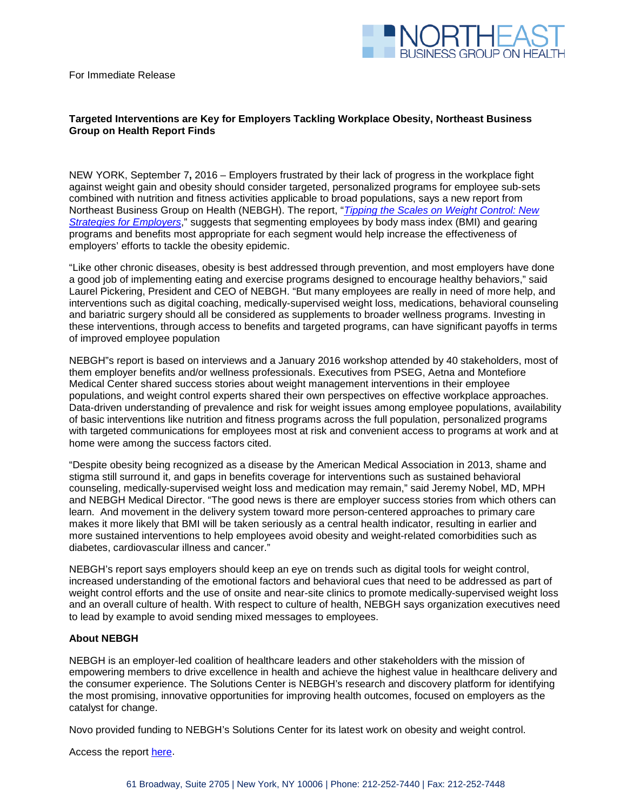

For Immediate Release

## **Targeted Interventions are Key for Employers Tackling Workplace Obesity, Northeast Business Group on Health Report Finds**

NEW YORK, September 7**,** 2016 – Employers frustrated by their lack of progress in the workplace fight against weight gain and obesity should consider targeted, personalized programs for employee sub-sets combined with nutrition and fitness activities applicable to broad populations, says a new report from Northeast Business Group on Health (NEBGH). The report, "*[Tipping the Scales on Weight Control: New](http://nebgh.org/wp-content/uploads/2016/08/NEBGH_Tipping-the-Scales-2016.pdf)  [Strategies for Employers](http://nebgh.org/wp-content/uploads/2016/08/NEBGH_Tipping-the-Scales-2016.pdf)*," suggests that segmenting employees by body mass index (BMI) and gearing programs and benefits most appropriate for each segment would help increase the effectiveness of employers' efforts to tackle the obesity epidemic.

"Like other chronic diseases, obesity is best addressed through prevention, and most employers have done a good job of implementing eating and exercise programs designed to encourage healthy behaviors," said Laurel Pickering, President and CEO of NEBGH. "But many employees are really in need of more help, and interventions such as digital coaching, medically-supervised weight loss, medications, behavioral counseling and bariatric surgery should all be considered as supplements to broader wellness programs. Investing in these interventions, through access to benefits and targeted programs, can have significant payoffs in terms of improved employee population

NEBGH"s report is based on interviews and a January 2016 workshop attended by 40 stakeholders, most of them employer benefits and/or wellness professionals. Executives from PSEG, Aetna and Montefiore Medical Center shared success stories about weight management interventions in their employee populations, and weight control experts shared their own perspectives on effective workplace approaches. Data-driven understanding of prevalence and risk for weight issues among employee populations, availability of basic interventions like nutrition and fitness programs across the full population, personalized programs with targeted communications for employees most at risk and convenient access to programs at work and at home were among the success factors cited.

"Despite obesity being recognized as a disease by the American Medical Association in 2013, shame and stigma still surround it, and gaps in benefits coverage for interventions such as sustained behavioral counseling, medically-supervised weight loss and medication may remain," said Jeremy Nobel, MD, MPH and NEBGH Medical Director. "The good news is there are employer success stories from which others can learn. And movement in the delivery system toward more person-centered approaches to primary care makes it more likely that BMI will be taken seriously as a central health indicator, resulting in earlier and more sustained interventions to help employees avoid obesity and weight-related comorbidities such as diabetes, cardiovascular illness and cancer."

NEBGH's report says employers should keep an eye on trends such as digital tools for weight control, increased understanding of the emotional factors and behavioral cues that need to be addressed as part of weight control efforts and the use of onsite and near-site clinics to promote medically-supervised weight loss and an overall culture of health. With respect to culture of health, NEBGH says organization executives need to lead by example to avoid sending mixed messages to employees.

## **About NEBGH**

NEBGH is an employer-led coalition of healthcare leaders and other stakeholders with the mission of empowering members to drive excellence in health and achieve the highest value in healthcare delivery and the consumer experience. The Solutions Center is NEBGH's research and discovery platform for identifying the most promising, innovative opportunities for improving health outcomes, focused on employers as the catalyst for change.

Novo provided funding to NEBGH's Solutions Center for its latest work on obesity and weight control.

Access the report [here.](http://nebgh.org/wp-content/uploads/2016/08/NEBGH_Tipping-the-Scales-2016.pdf)